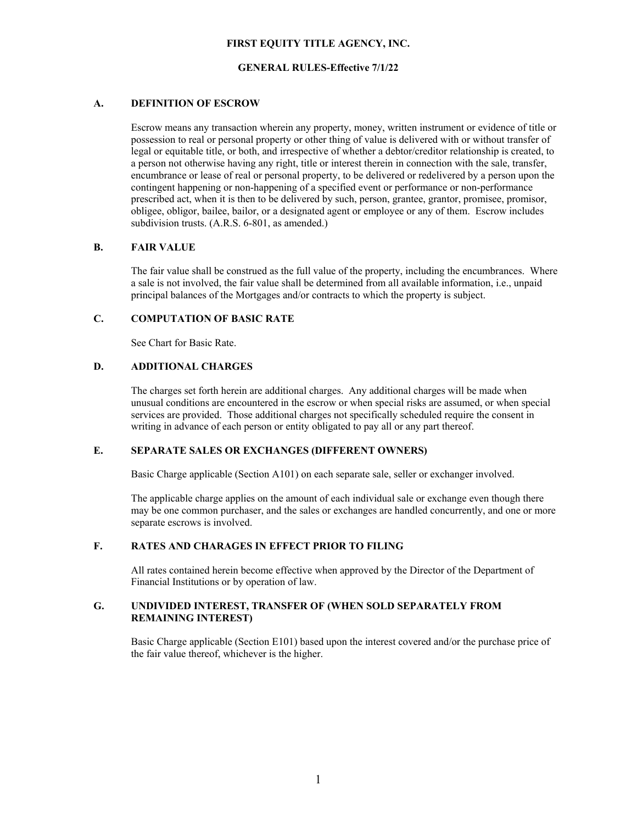# **FIRST EQUITY TITLE AGENCY, INC.**

# **GENERAL RULES-Effective 7/1/22**

# **A. DEFINITION OF ESCROW**

Escrow means any transaction wherein any property, money, written instrument or evidence of title or possession to real or personal property or other thing of value is delivered with or without transfer of legal or equitable title, or both, and irrespective of whether a debtor/creditor relationship is created, to a person not otherwise having any right, title or interest therein in connection with the sale, transfer, encumbrance or lease of real or personal property, to be delivered or redelivered by a person upon the contingent happening or non-happening of a specified event or performance or non-performance prescribed act, when it is then to be delivered by such, person, grantee, grantor, promisee, promisor, obligee, obligor, bailee, bailor, or a designated agent or employee or any of them. Escrow includes subdivision trusts. (A.R.S. 6-801, as amended.)

# **B. FAIR VALUE**

The fair value shall be construed as the full value of the property, including the encumbrances. Where a sale is not involved, the fair value shall be determined from all available information, i.e., unpaid principal balances of the Mortgages and/or contracts to which the property is subject.

#### **C. COMPUTATION OF BASIC RATE**

See Chart for Basic Rate.

# **D. ADDITIONAL CHARGES**

The charges set forth herein are additional charges. Any additional charges will be made when unusual conditions are encountered in the escrow or when special risks are assumed, or when special services are provided. Those additional charges not specifically scheduled require the consent in writing in advance of each person or entity obligated to pay all or any part thereof.

#### **E. SEPARATE SALES OR EXCHANGES (DIFFERENT OWNERS)**

Basic Charge applicable (Section A101) on each separate sale, seller or exchanger involved.

The applicable charge applies on the amount of each individual sale or exchange even though there may be one common purchaser, and the sales or exchanges are handled concurrently, and one or more separate escrows is involved.

# **F. RATES AND CHARAGES IN EFFECT PRIOR TO FILING**

All rates contained herein become effective when approved by the Director of the Department of Financial Institutions or by operation of law.

# **G. UNDIVIDED INTEREST, TRANSFER OF (WHEN SOLD SEPARATELY FROM REMAINING INTEREST)**

Basic Charge applicable (Section E101) based upon the interest covered and/or the purchase price of the fair value thereof, whichever is the higher.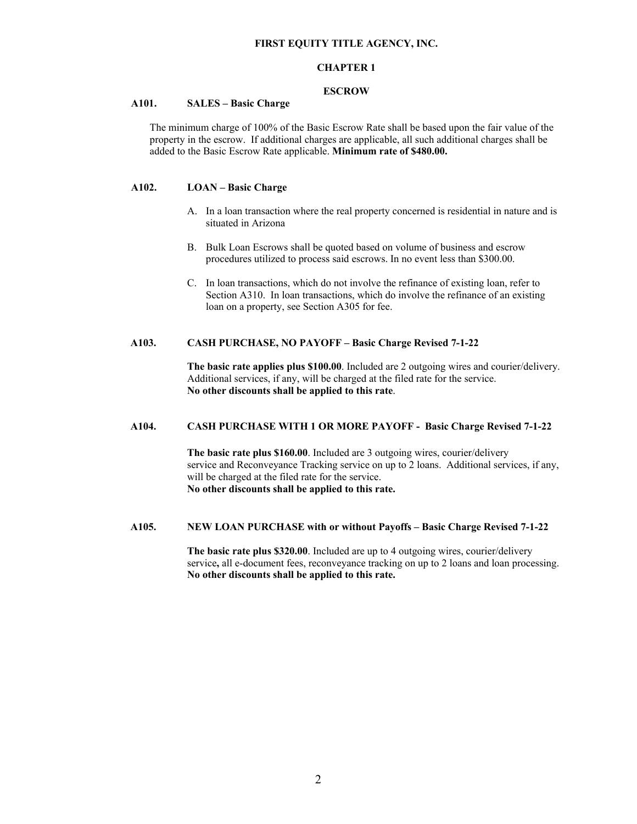### **FIRST EQUITY TITLE AGENCY, INC.**

# **CHAPTER 1**

# **ESCROW**

# **A101. SALES – Basic Charge**

The minimum charge of 100% of the Basic Escrow Rate shall be based upon the fair value of the property in the escrow. If additional charges are applicable, all such additional charges shall be added to the Basic Escrow Rate applicable. **Minimum rate of \$480.00.** 

# **A102. LOAN – Basic Charge**

- A. In a loan transaction where the real property concerned is residential in nature and is situated in Arizona
- B. Bulk Loan Escrows shall be quoted based on volume of business and escrow procedures utilized to process said escrows. In no event less than \$300.00.
- C. In loan transactions, which do not involve the refinance of existing loan, refer to Section A310. In loan transactions, which do involve the refinance of an existing loan on a property, see Section A305 for fee.

# **A103. CASH PURCHASE, NO PAYOFF – Basic Charge Revised 7-1-22**

 **The basic rate applies plus \$100.00**. Included are 2 outgoing wires and courier/delivery. Additional services, if any, will be charged at the filed rate for the service.  **No other discounts shall be applied to this rate**.

### **A104. CASH PURCHASE WITH 1 OR MORE PAYOFF - Basic Charge Revised 7-1-22**

 **The basic rate plus \$160.00**. Included are 3 outgoing wires, courier/delivery service and Reconveyance Tracking service on up to 2 loans. Additional services, if any, will be charged at the filed rate for the service. **No other discounts shall be applied to this rate.** 

#### **A105. NEW LOAN PURCHASE with or without Payoffs – Basic Charge Revised 7-1-22**

 **The basic rate plus \$320.00**. Included are up to 4 outgoing wires, courier/delivery service**,** all e-document fees, reconveyance tracking on up to 2 loans and loan processing.  **No other discounts shall be applied to this rate.**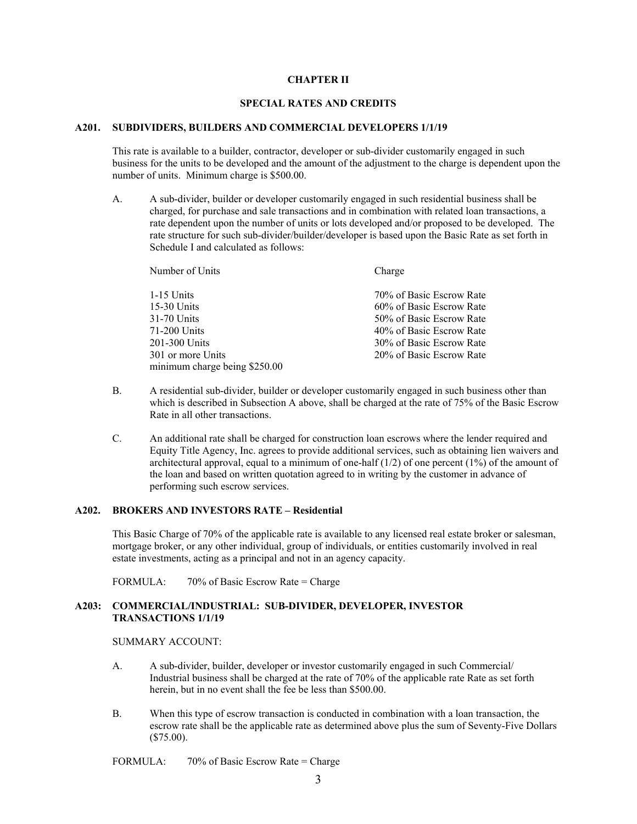## **CHAPTER II**

### **SPECIAL RATES AND CREDITS**

### **A201. SUBDIVIDERS, BUILDERS AND COMMERCIAL DEVELOPERS 1/1/19**

This rate is available to a builder, contractor, developer or sub-divider customarily engaged in such business for the units to be developed and the amount of the adjustment to the charge is dependent upon the number of units. Minimum charge is \$500.00.

A. A sub-divider, builder or developer customarily engaged in such residential business shall be charged, for purchase and sale transactions and in combination with related loan transactions, a rate dependent upon the number of units or lots developed and/or proposed to be developed. The rate structure for such sub-divider/builder/developer is based upon the Basic Rate as set forth in Schedule I and calculated as follows:

| Number of Units               | Charge                   |
|-------------------------------|--------------------------|
| 1-15 Units                    | 70% of Basic Escrow Rate |
| $15-30$ Units                 | 60% of Basic Escrow Rate |
| 31-70 Units                   | 50% of Basic Escrow Rate |
| 71-200 Units                  | 40% of Basic Escrow Rate |
| 201-300 Units                 | 30% of Basic Escrow Rate |
| 301 or more Units             | 20% of Basic Escrow Rate |
| minimum charge being \$250.00 |                          |

- B. A residential sub-divider, builder or developer customarily engaged in such business other than which is described in Subsection A above, shall be charged at the rate of 75% of the Basic Escrow Rate in all other transactions.
- C. An additional rate shall be charged for construction loan escrows where the lender required and Equity Title Agency, Inc. agrees to provide additional services, such as obtaining lien waivers and architectural approval, equal to a minimum of one-half  $(1/2)$  of one percent  $(1\%)$  of the amount of the loan and based on written quotation agreed to in writing by the customer in advance of performing such escrow services.

### **A202. BROKERS AND INVESTORS RATE – Residential**

This Basic Charge of 70% of the applicable rate is available to any licensed real estate broker or salesman, mortgage broker, or any other individual, group of individuals, or entities customarily involved in real estate investments, acting as a principal and not in an agency capacity.

FORMULA:  $70\%$  of Basic Escrow Rate = Charge

# **A203: COMMERCIAL/INDUSTRIAL: SUB-DIVIDER, DEVELOPER, INVESTOR TRANSACTIONS 1/1/19**

#### SUMMARY ACCOUNT:

- A. A sub-divider, builder, developer or investor customarily engaged in such Commercial/ Industrial business shall be charged at the rate of 70% of the applicable rate Rate as set forth herein, but in no event shall the fee be less than \$500,00.
- B. When this type of escrow transaction is conducted in combination with a loan transaction, the escrow rate shall be the applicable rate as determined above plus the sum of Seventy-Five Dollars (\$75.00).

FORMULA: 70% of Basic Escrow Rate = Charge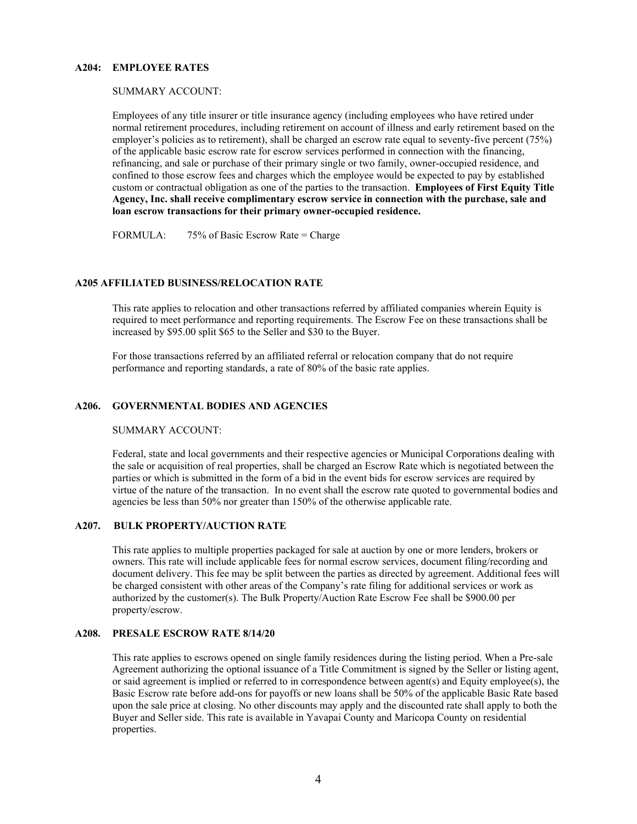### **A204: EMPLOYEE RATES**

#### SUMMARY ACCOUNT:

Employees of any title insurer or title insurance agency (including employees who have retired under normal retirement procedures, including retirement on account of illness and early retirement based on the employer's policies as to retirement), shall be charged an escrow rate equal to seventy-five percent (75%) of the applicable basic escrow rate for escrow services performed in connection with the financing, refinancing, and sale or purchase of their primary single or two family, owner-occupied residence, and confined to those escrow fees and charges which the employee would be expected to pay by established custom or contractual obligation as one of the parties to the transaction. **Employees of First Equity Title Agency, Inc. shall receive complimentary escrow service in connection with the purchase, sale and loan escrow transactions for their primary owner-occupied residence.** 

FORMULA: 75% of Basic Escrow Rate = Charge

#### **A205 AFFILIATED BUSINESS/RELOCATION RATE**

This rate applies to relocation and other transactions referred by affiliated companies wherein Equity is required to meet performance and reporting requirements. The Escrow Fee on these transactions shall be increased by \$95.00 split \$65 to the Seller and \$30 to the Buyer.

 For those transactions referred by an affiliated referral or relocation company that do not require performance and reporting standards, a rate of 80% of the basic rate applies.

### **A206. GOVERNMENTAL BODIES AND AGENCIES**

#### SUMMARY ACCOUNT:

Federal, state and local governments and their respective agencies or Municipal Corporations dealing with the sale or acquisition of real properties, shall be charged an Escrow Rate which is negotiated between the parties or which is submitted in the form of a bid in the event bids for escrow services are required by virtue of the nature of the transaction. In no event shall the escrow rate quoted to governmental bodies and agencies be less than 50% nor greater than 150% of the otherwise applicable rate.

### **A207. BULK PROPERTY/AUCTION RATE**

 This rate applies to multiple properties packaged for sale at auction by one or more lenders, brokers or owners. This rate will include applicable fees for normal escrow services, document filing/recording and document delivery. This fee may be split between the parties as directed by agreement. Additional fees will be charged consistent with other areas of the Company's rate filing for additional services or work as authorized by the customer(s). The Bulk Property/Auction Rate Escrow Fee shall be \$900.00 per property/escrow.

## **A208. PRESALE ESCROW RATE 8/14/20**

This rate applies to escrows opened on single family residences during the listing period. When a Pre-sale Agreement authorizing the optional issuance of a Title Commitment is signed by the Seller or listing agent, or said agreement is implied or referred to in correspondence between agent(s) and Equity employee(s), the Basic Escrow rate before add-ons for payoffs or new loans shall be 50% of the applicable Basic Rate based upon the sale price at closing. No other discounts may apply and the discounted rate shall apply to both the Buyer and Seller side. This rate is available in Yavapai County and Maricopa County on residential properties.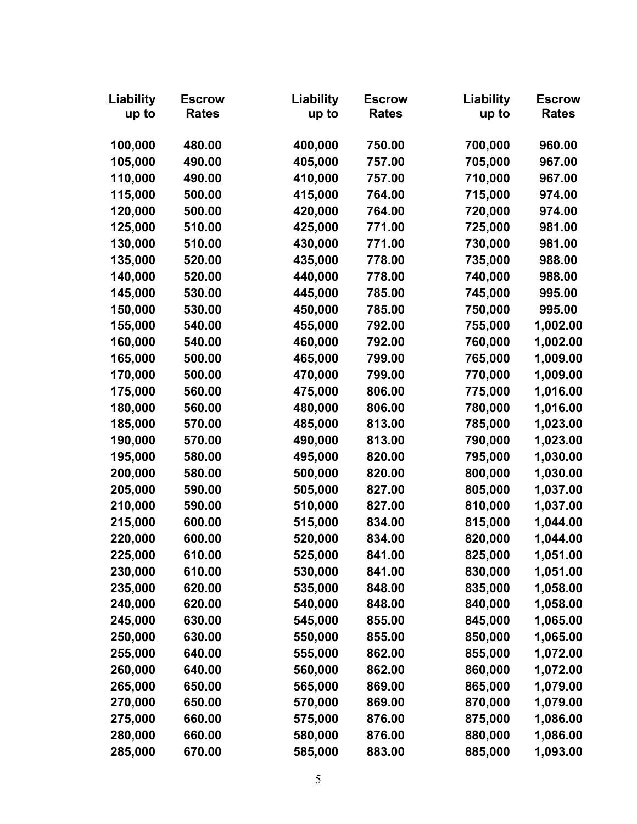| Liability | <b>Escrow</b> | Liability | <b>Escrow</b> | Liability | <b>Escrow</b> |
|-----------|---------------|-----------|---------------|-----------|---------------|
| up to     | <b>Rates</b>  | up to     | <b>Rates</b>  | up to     | <b>Rates</b>  |
|           |               |           |               |           |               |
| 100,000   | 480.00        | 400,000   | 750.00        | 700,000   | 960.00        |
| 105,000   | 490.00        | 405,000   | 757.00        | 705,000   | 967.00        |
| 110,000   | 490.00        | 410,000   | 757.00        | 710,000   | 967.00        |
| 115,000   | 500.00        | 415,000   | 764.00        | 715,000   | 974.00        |
| 120,000   | 500.00        | 420,000   | 764.00        | 720,000   | 974.00        |
| 125,000   | 510.00        | 425,000   | 771.00        | 725,000   | 981.00        |
| 130,000   | 510.00        | 430,000   | 771.00        | 730,000   | 981.00        |
| 135,000   | 520.00        | 435,000   | 778.00        | 735,000   | 988.00        |
| 140,000   | 520.00        | 440,000   | 778.00        | 740,000   | 988.00        |
| 145,000   | 530.00        | 445,000   | 785.00        | 745,000   | 995.00        |
| 150,000   | 530.00        | 450,000   | 785.00        | 750,000   | 995.00        |
| 155,000   | 540.00        | 455,000   | 792.00        | 755,000   | 1,002.00      |
| 160,000   | 540.00        | 460,000   | 792.00        | 760,000   | 1,002.00      |
| 165,000   | 500.00        | 465,000   | 799.00        | 765,000   | 1,009.00      |
| 170,000   | 500.00        | 470,000   | 799.00        | 770,000   | 1,009.00      |
| 175,000   | 560.00        | 475,000   | 806.00        | 775,000   | 1,016.00      |
| 180,000   | 560.00        | 480,000   | 806.00        | 780,000   | 1,016.00      |
| 185,000   | 570.00        | 485,000   | 813.00        | 785,000   | 1,023.00      |
| 190,000   | 570.00        | 490,000   | 813.00        | 790,000   | 1,023.00      |
| 195,000   | 580.00        | 495,000   | 820.00        | 795,000   | 1,030.00      |
| 200,000   | 580.00        | 500,000   | 820.00        | 800,000   | 1,030.00      |
| 205,000   | 590.00        | 505,000   | 827.00        | 805,000   | 1,037.00      |
| 210,000   | 590.00        | 510,000   | 827.00        | 810,000   | 1,037.00      |
| 215,000   | 600.00        | 515,000   | 834.00        | 815,000   | 1,044.00      |
| 220,000   | 600.00        | 520,000   | 834.00        | 820,000   | 1,044.00      |
| 225,000   | 610.00        | 525,000   | 841.00        | 825,000   | 1,051.00      |
| 230,000   | 610.00        | 530,000   | 841.00        | 830,000   | 1,051.00      |
| 235,000   | 620.00        | 535,000   | 848.00        | 835,000   | 1,058.00      |
| 240,000   | 620.00        | 540,000   | 848.00        | 840,000   | 1,058.00      |
| 245,000   | 630.00        | 545,000   | 855.00        | 845,000   | 1,065.00      |
| 250,000   | 630.00        | 550,000   | 855.00        | 850,000   | 1,065.00      |
| 255,000   | 640.00        | 555,000   | 862.00        | 855,000   | 1,072.00      |
| 260,000   | 640.00        | 560,000   | 862.00        | 860,000   | 1,072.00      |
| 265,000   | 650.00        | 565,000   | 869.00        | 865,000   | 1,079.00      |
| 270,000   | 650.00        | 570,000   | 869.00        | 870,000   | 1,079.00      |
| 275,000   | 660.00        | 575,000   | 876.00        | 875,000   | 1,086.00      |
| 280,000   | 660.00        | 580,000   | 876.00        | 880,000   | 1,086.00      |
| 285,000   | 670.00        | 585,000   | 883.00        | 885,000   | 1,093.00      |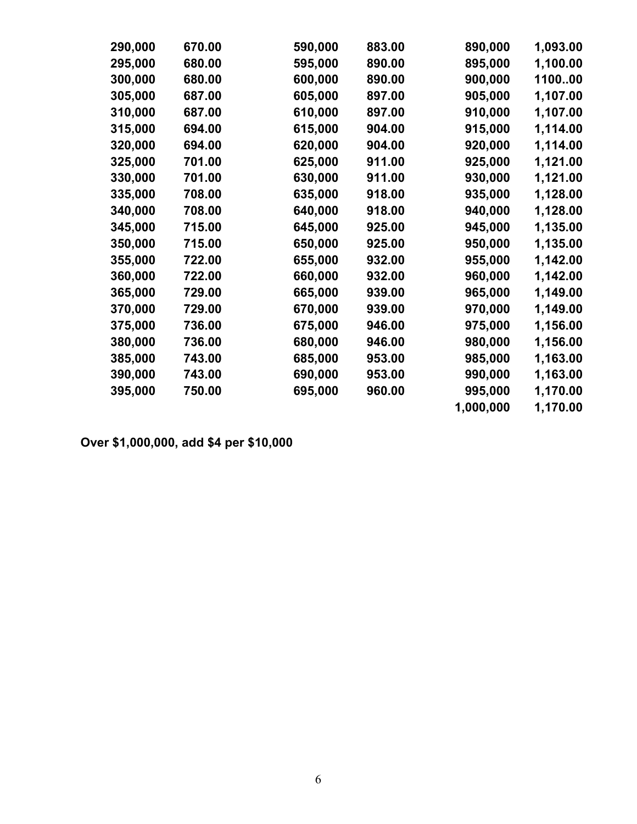| 290,000 | 670.00 | 590,000 | 883.00 | 890,000   | 1,093.00 |
|---------|--------|---------|--------|-----------|----------|
| 295,000 | 680.00 | 595,000 | 890.00 | 895,000   | 1,100.00 |
| 300,000 | 680.00 | 600,000 | 890.00 | 900,000   | 110000   |
| 305,000 | 687.00 | 605,000 | 897.00 | 905,000   | 1,107.00 |
| 310,000 | 687.00 | 610,000 | 897.00 | 910,000   | 1,107.00 |
| 315,000 | 694.00 | 615,000 | 904.00 | 915,000   | 1,114.00 |
| 320,000 | 694.00 | 620,000 | 904.00 | 920,000   | 1,114.00 |
| 325,000 | 701.00 | 625,000 | 911.00 | 925,000   | 1,121.00 |
| 330,000 | 701.00 | 630,000 | 911.00 | 930,000   | 1,121.00 |
| 335,000 | 708.00 | 635,000 | 918.00 | 935,000   | 1,128.00 |
| 340,000 | 708.00 | 640,000 | 918.00 | 940,000   | 1,128.00 |
| 345,000 | 715.00 | 645,000 | 925.00 | 945,000   | 1,135.00 |
| 350,000 | 715.00 | 650,000 | 925.00 | 950,000   | 1,135.00 |
| 355,000 | 722.00 | 655,000 | 932.00 | 955,000   | 1,142.00 |
| 360,000 | 722.00 | 660,000 | 932.00 | 960,000   | 1,142.00 |
| 365,000 | 729.00 | 665,000 | 939.00 | 965,000   | 1,149.00 |
| 370,000 | 729.00 | 670,000 | 939.00 | 970,000   | 1,149.00 |
| 375,000 | 736.00 | 675,000 | 946.00 | 975,000   | 1,156.00 |
| 380,000 | 736.00 | 680,000 | 946.00 | 980,000   | 1,156.00 |
| 385,000 | 743.00 | 685,000 | 953.00 | 985,000   | 1,163.00 |
| 390,000 | 743.00 | 690,000 | 953.00 | 990,000   | 1,163.00 |
| 395,000 | 750.00 | 695,000 | 960.00 | 995,000   | 1,170.00 |
|         |        |         |        | 1,000,000 | 1,170.00 |
|         |        |         |        |           |          |

**Over \$1,000,000, add \$4 per \$10,000**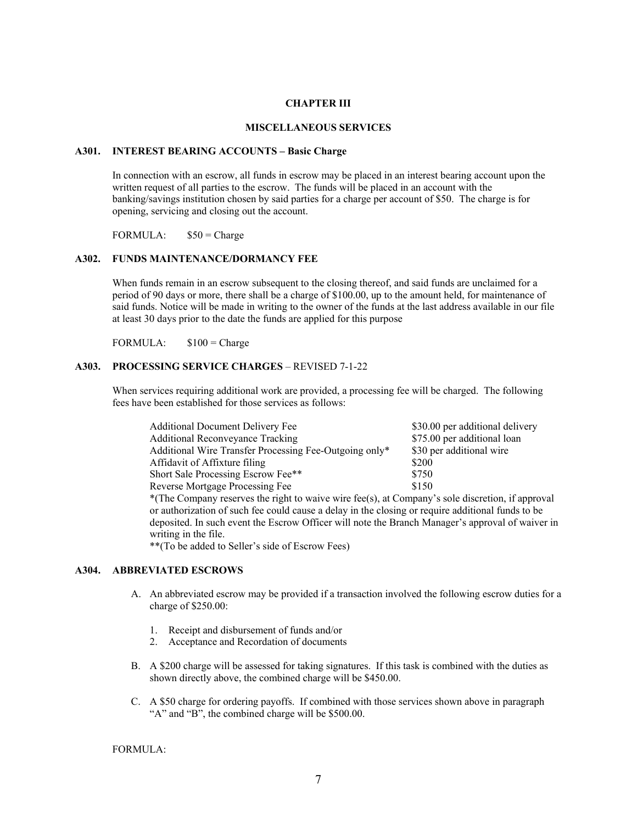#### **CHAPTER III**

### **MISCELLANEOUS SERVICES**

#### **A301. INTEREST BEARING ACCOUNTS – Basic Charge**

In connection with an escrow, all funds in escrow may be placed in an interest bearing account upon the written request of all parties to the escrow. The funds will be placed in an account with the banking/savings institution chosen by said parties for a charge per account of \$50. The charge is for opening, servicing and closing out the account.

FORMULA:  $$50 = Charge$ 

### **A302. FUNDS MAINTENANCE/DORMANCY FEE**

When funds remain in an escrow subsequent to the closing thereof, and said funds are unclaimed for a period of 90 days or more, there shall be a charge of \$100.00, up to the amount held, for maintenance of said funds. Notice will be made in writing to the owner of the funds at the last address available in our file at least 30 days prior to the date the funds are applied for this purpose

FORMULA:  $$100 = \text{Change}$ 

# **A303. PROCESSING SERVICE CHARGES** – REVISED 7-1-22

When services requiring additional work are provided, a processing fee will be charged. The following fees have been established for those services as follows:

| <b>Additional Document Delivery Fee</b>                                                           | \$30.00 per additional delivery |
|---------------------------------------------------------------------------------------------------|---------------------------------|
| <b>Additional Reconveyance Tracking</b>                                                           | \$75.00 per additional loan     |
| Additional Wire Transfer Processing Fee-Outgoing only*                                            | \$30 per additional wire        |
| Affidavit of Affixture filing                                                                     | \$200                           |
| Short Sale Processing Escrow Fee**                                                                | \$750                           |
| Reverse Mortgage Processing Fee                                                                   | \$150                           |
| *(The Company reserves the right to waive wire fee(s), at Company's sole discretion, if approval  |                                 |
| or authorization of such fee could cause a delay in the closing or require additional funds to be |                                 |
| deposited. In such event the Escrow Officer will note the Branch Manager's approval of waiver in  |                                 |
| writing in the file.                                                                              |                                 |
|                                                                                                   |                                 |

\*\*(To be added to Seller's side of Escrow Fees)

# **A304. ABBREVIATED ESCROWS**

- A. An abbreviated escrow may be provided if a transaction involved the following escrow duties for a charge of \$250.00:
	- 1. Receipt and disbursement of funds and/or
	- 2. Acceptance and Recordation of documents
- B. A \$200 charge will be assessed for taking signatures. If this task is combined with the duties as shown directly above, the combined charge will be \$450.00.
- C. A \$50 charge for ordering payoffs. If combined with those services shown above in paragraph "A" and "B", the combined charge will be \$500.00.

## FORMULA: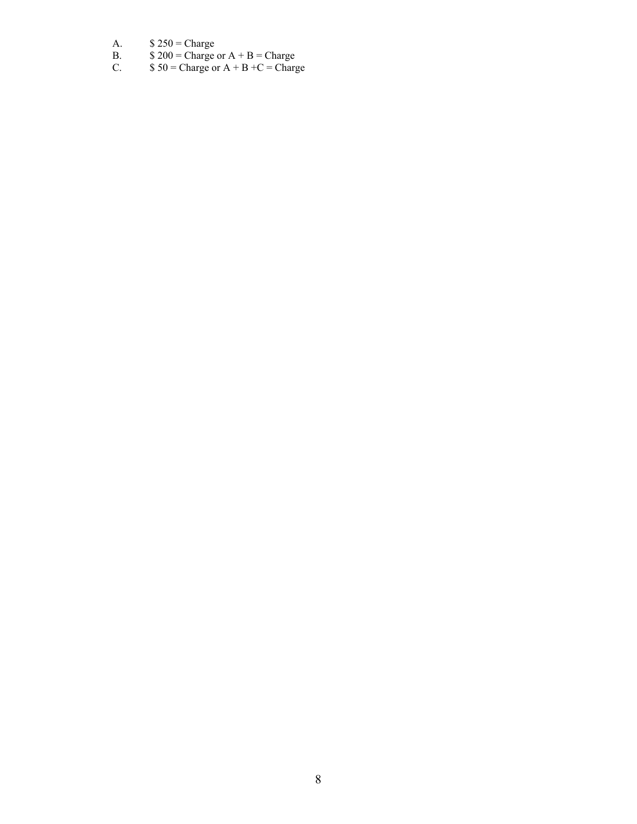- A.  $$ 250 = Charge$
- B.  $$200 = \text{Change or A} + \text{B} = \text{Change}$
- C.  $$50 = \text{Change or A} + \text{B} + \text{C} = \text{Change}$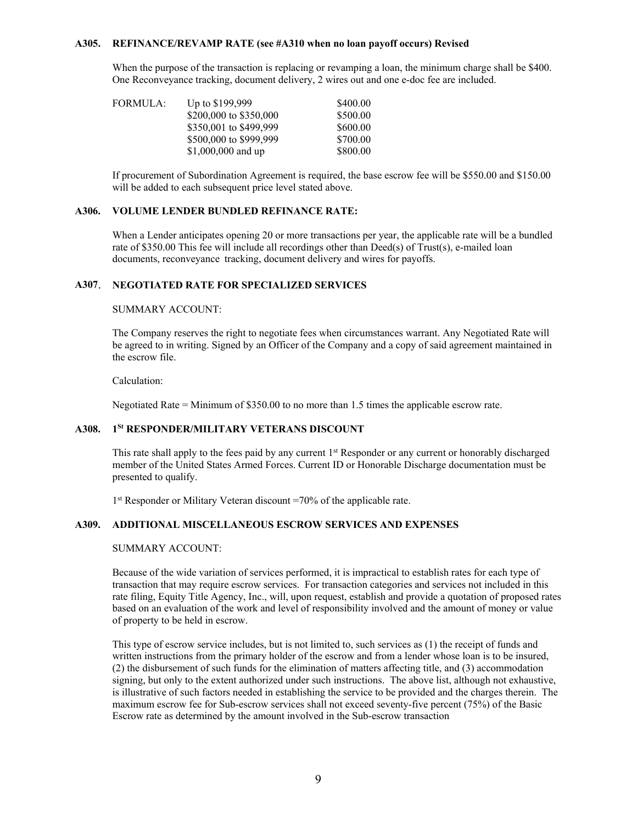### **A305. REFINANCE/REVAMP RATE (see #A310 when no loan payoff occurs) Revised**

When the purpose of the transaction is replacing or revamping a loan, the minimum charge shall be \$400. One Reconveyance tracking, document delivery, 2 wires out and one e-doc fee are included.

| FORMULA: | Up to \$199,999        | \$400.00 |
|----------|------------------------|----------|
|          | \$200,000 to \$350,000 | \$500.00 |
|          | \$350,001 to \$499,999 | \$600.00 |
|          | \$500,000 to \$999,999 | \$700.00 |
|          | \$1,000,000 and up     | \$800.00 |

 If procurement of Subordination Agreement is required, the base escrow fee will be \$550.00 and \$150.00 will be added to each subsequent price level stated above.

### **A306. VOLUME LENDER BUNDLED REFINANCE RATE:**

When a Lender anticipates opening 20 or more transactions per year, the applicable rate will be a bundled rate of \$350.00 This fee will include all recordings other than Deed(s) of Trust(s), e-mailed loan documents, reconveyance tracking, document delivery and wires for payoffs.

# **A307**. **NEGOTIATED RATE FOR SPECIALIZED SERVICES**

# SUMMARY ACCOUNT:

 The Company reserves the right to negotiate fees when circumstances warrant. Any Negotiated Rate will be agreed to in writing. Signed by an Officer of the Company and a copy of said agreement maintained in the escrow file.

#### Calculation:

Negotiated Rate = Minimum of \$350.00 to no more than 1.5 times the applicable escrow rate.

# **A308. 1St RESPONDER/MILITARY VETERANS DISCOUNT**

This rate shall apply to the fees paid by any current  $1<sup>st</sup>$  Responder or any current or honorably discharged member of the United States Armed Forces. Current ID or Honorable Discharge documentation must be presented to qualify.

1<sup>st</sup> Responder or Military Veteran discount =70% of the applicable rate.

# **A309. ADDITIONAL MISCELLANEOUS ESCROW SERVICES AND EXPENSES**

# SUMMARY ACCOUNT:

Because of the wide variation of services performed, it is impractical to establish rates for each type of transaction that may require escrow services. For transaction categories and services not included in this rate filing, Equity Title Agency, Inc., will, upon request, establish and provide a quotation of proposed rates based on an evaluation of the work and level of responsibility involved and the amount of money or value of property to be held in escrow.

This type of escrow service includes, but is not limited to, such services as (1) the receipt of funds and written instructions from the primary holder of the escrow and from a lender whose loan is to be insured, (2) the disbursement of such funds for the elimination of matters affecting title, and (3) accommodation signing, but only to the extent authorized under such instructions. The above list, although not exhaustive, is illustrative of such factors needed in establishing the service to be provided and the charges therein. The maximum escrow fee for Sub-escrow services shall not exceed seventy-five percent (75%) of the Basic Escrow rate as determined by the amount involved in the Sub-escrow transaction